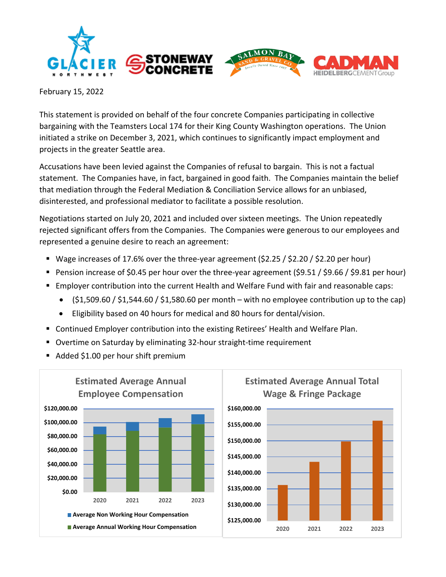

February 15, 2022

This statement is provided on behalf of the four concrete Companies participating in collective bargaining with the Teamsters Local 174 for their King County Washington operations. The Union initiated a strike on December 3, 2021, which continues to significantly impact employment and projects in the greater Seattle area.

Accusations have been levied against the Companies of refusal to bargain. This is not a factual statement. The Companies have, in fact, bargained in good faith. The Companies maintain the belief that mediation through the Federal Mediation & Conciliation Service allows for an unbiased, disinterested, and professional mediator to facilitate a possible resolution.

Negotiations started on July 20, 2021 and included over sixteen meetings. The Union repeatedly rejected significant offers from the Companies. The Companies were generous to our employees and represented a genuine desire to reach an agreement:

- Wage increases of 17.6% over the three-year agreement (\$2.25 / \$2.20 / \$2.20 per hour)
- Pension increase of \$0.45 per hour over the three-year agreement (\$9.51 / \$9.66 / \$9.81 per hour)
- **Employer contribution into the current Health and Welfare Fund with fair and reasonable caps:** 
	- $\bullet$  (\$1,509.60 / \$1,544.60 / \$1,580.60 per month with no employee contribution up to the cap)
	- Eligibility based on 40 hours for medical and 80 hours for dental/vision.
- Continued Employer contribution into the existing Retirees' Health and Welfare Plan.
- Overtime on Saturday by eliminating 32-hour straight-time requirement
- Added \$1.00 per hour shift premium